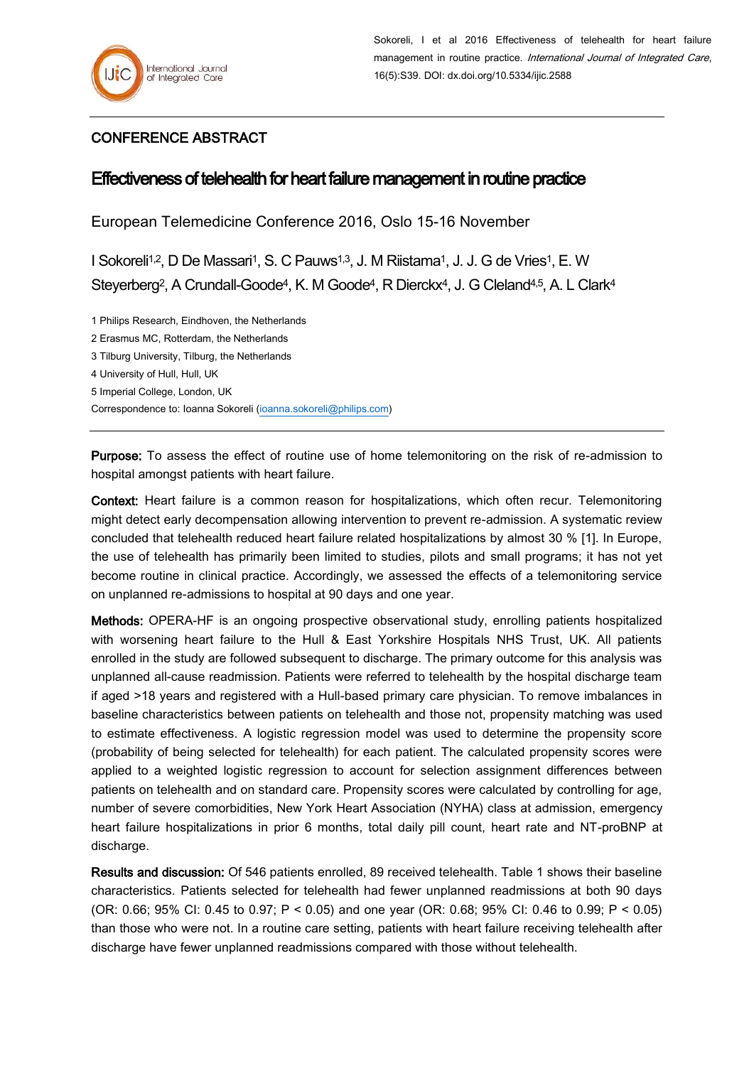## CONFERENCE ABSTRACT

## Effectiveness of telehealth for heart failure management in routine practice

European Telemedicine Conference 2016, Oslo 15-16 November

I Sokoreli<sup>1,2</sup>, D De Massari<sup>1</sup>, S. C Pauws<sup>1,3</sup>, J. M Riistama<sup>1</sup>, J. J. G de Vries<sup>1</sup>, E. W Steyerberg<sup>2</sup>, A Crundall-Goode<sup>4</sup>, K. M Goode<sup>4</sup>, R Dierckx<sup>4</sup>, J. G Cleland<sup>4,5</sup>, A. L Clark<sup>4</sup>

1 Philips Research, Eindhoven, the Netherlands 2 Erasmus MC, Rotterdam, the Netherlands

3 Tilburg University, Tilburg, the Netherlands

4 University of Hull, Hull, UK

5 Imperial College, London, UK

Correspondence to: Ioanna Sokoreli [\(ioanna.sokoreli@philips.com\)](mailto:ioanna.sokoreli@philips.com)

Purpose: To assess the effect of routine use of home telemonitoring on the risk of re-admission to hospital amongst patients with heart failure.

Context: Heart failure is a common reason for hospitalizations, which often recur. Telemonitoring might detect early decompensation allowing intervention to prevent re-admission. A systematic review concluded that telehealth reduced heart failure related hospitalizations by almost 30 % [1]. In Europe, the use of telehealth has primarily been limited to studies, pilots and small programs; it has not yet become routine in clinical practice. Accordingly, we assessed the effects of a telemonitoring service on unplanned re-admissions to hospital at 90 days and one year.

Methods: OPERA-HF is an ongoing prospective observational study, enrolling patients hospitalized with worsening heart failure to the Hull & East Yorkshire Hospitals NHS Trust, UK. All patients enrolled in the study are followed subsequent to discharge. The primary outcome for this analysis was unplanned all-cause readmission. Patients were referred to telehealth by the hospital discharge team if aged >18 years and registered with a Hull-based primary care physician. To remove imbalances in baseline characteristics between patients on telehealth and those not, propensity matching was used to estimate effectiveness. A logistic regression model was used to determine the propensity score (probability of being selected for telehealth) for each patient. The calculated propensity scores were applied to a weighted logistic regression to account for selection assignment differences between patients on telehealth and on standard care. Propensity scores were calculated by controlling for age, number of severe comorbidities, New York Heart Association (NYHA) class at admission, emergency heart failure hospitalizations in prior 6 months, total daily pill count, heart rate and NT-proBNP at discharge.

Results and discussion: Of 546 patients enrolled, 89 received telehealth. Table 1 shows their baseline characteristics. Patients selected for telehealth had fewer unplanned readmissions at both 90 days (OR: 0.66; 95% CI: 0.45 to 0.97; P < 0.05) and one year (OR: 0.68; 95% CI: 0.46 to 0.99; P < 0.05) than those who were not. In a routine care setting, patients with heart failure receiving telehealth after discharge have fewer unplanned readmissions compared with those without telehealth.